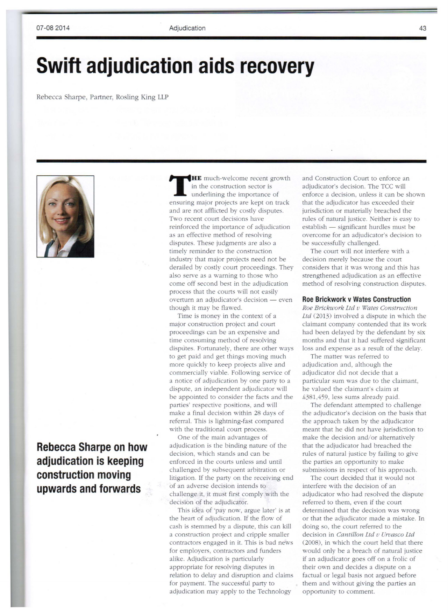## **Swift adjudication aids recovery**

Rebecca harpe, Partner, Rosling King LLP



**Rebecca Sharpe on how adjudication is keeping construction moving upwards and forwards** 

**THE** much-welcome recent growth in the construction sector is underlining the importance of ensuring major projects are kept on track and are not afflicted by costly disputes. Two recent court decisions have reinforced the importance of adjudication as an effective method of resolving disputes. These judgments are also a timely reminder to the construction industry that major projects need not be derailed by costly court proceedings. They also serve as a warning to those who come off second best in the adjudication process that the courts will not easily overturn an adjudicator's decision - even though it may be flawed.

Time is money in the context of a major construction project and court proceedings can be an expensive and time consuming method of resolving disputes. Fortunately, there are other ways to get paid and get things moving much more quickly to keep projects alive and commercially viable. Following service of a notice of adjudication by one party to a dispute, an independent adjudicator will be appointed to consider the facts and the parties' respective positions, and will make a final decision within 28 days of referral. This is lightning-fast compared with the traditional court process.

One of the main advantages of adjudication is the binding nature of the decision, which stands and can be enforced in the courts unless and until challenged by subsequent arbitration or litigation. If the party on the receiving end of an adverse decision intends to challenge it, it must first comply with the decision of the adjudicator.

This idea of 'pay now, argue later' is at the heart of adjudication. If the flow of cash is stemmed by a dispute, this can kill a construction project and cripple smaller contractors engaged in it. This is bad news for employers, contractors and funders alike. Adjudication is particularly appropriate for resolving disputes in relation to delay and disruption and claims for payment. The successful party to adjudication may apply to the Technology

and Construction Court to enforce an adjudicator's decision. The TCC will enforce a decision, unless it can be shown that the adjudicator has exceeded their jurisdiction or materially breached the rules of natural justice. Neither is easy to establish — significant hurdles must be overcome for an adjudicator's decision to be successfully challenged.

The court will not interfere with a decision merely because the court considers that it was wrong and this has strengthened adjudication as an effective method of resolving construction disputes.

## **Roe Brickwork v Wates Construction**

*Roe Brickwork Ltd v Wates Construction Ltd* (2013) involved a dispute in which the claimant company contended that its work had been delayed by the defendant by six months and that it had suffered significant loss and expense as a result of the delay.

The matter was referred to adjudication and, although the adjudicator did not decide that a particular sum was due to the claimant, he valued the claimant's claim at £381,4 59, less urns already paid.

The defendant attempted to challenge the adjudicator's decision on the basis that the approach taken by the adjudicator meant that he did not have jurisdiction to make the decision and/or alternatively that the adjudicator had breached the rules of natural justice by failing to give the parties an opportunity to make submissions in respect of his approach.

The court decided that it would not interfere with the decision of an adjudicator who had resolved the dispute referred to them, even if the court determined that the decision was wrong or that the adjudicator made a mistake. In doing so, the court referred to the decision in *Cantillon Ltd v Urvasco Ltd*  (2008), in which the court held that there would only be a breach of natural justice if an adjudicator goes off on a frolic of their own and decides a dispute on a factual or legal basis not argued before them and without giving the parties an opportunity to comment.